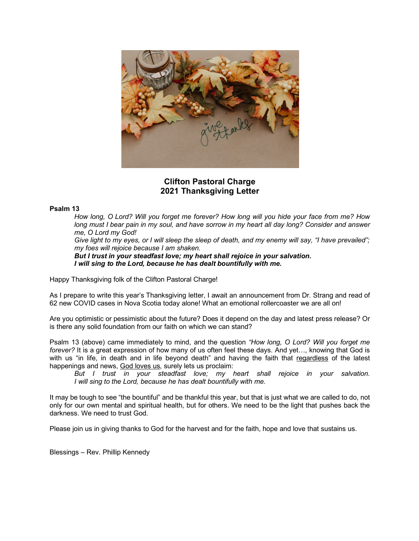

## **Clifton Pastoral Charge 2021 Thanksgiving Letter**

## **Psalm 13**

*How long, O Lord? Will you forget me forever? How long will you hide your face from me? How long must I bear pain in my soul, and have sorrow in my heart all day long? Consider and answer me, O Lord my God!*

*Give light to my eyes, or I will sleep the sleep of death, and my enemy will say, "I have prevailed"; my foes will rejoice because I am shaken.*

*But I trust in your steadfast love; my heart shall rejoice in your salvation. I will sing to the Lord, because he has dealt bountifully with me.*

Happy Thanksgiving folk of the Clifton Pastoral Charge!

As I prepare to write this year's Thanksgiving letter, I await an announcement from Dr. Strang and read of 62 new COVID cases in Nova Scotia today alone! What an emotional rollercoaster we are all on!

Are you optimistic or pessimistic about the future? Does it depend on the day and latest press release? Or is there any solid foundation from our faith on which we can stand?

Psalm 13 (above) came immediately to mind, and the question *"How long, O Lord? Will you forget me forever?* It is a great expression of how many of us often feel these days. And yet…, knowing that God is with us "in life, in death and in life beyond death" and having the faith that regardless of the latest happenings and news, God loves us, surely lets us proclaim:

*But I trust in your steadfast love; my heart shall rejoice in your salvation. I will sing to the Lord, because he has dealt bountifully with me.*

It may be tough to see "the bountiful" and be thankful this year, but that is just what we are called to do, not only for our own mental and spiritual health, but for others. We need to be the light that pushes back the darkness. We need to trust God.

Please join us in giving thanks to God for the harvest and for the faith, hope and love that sustains us.

Blessings – Rev. Phillip Kennedy